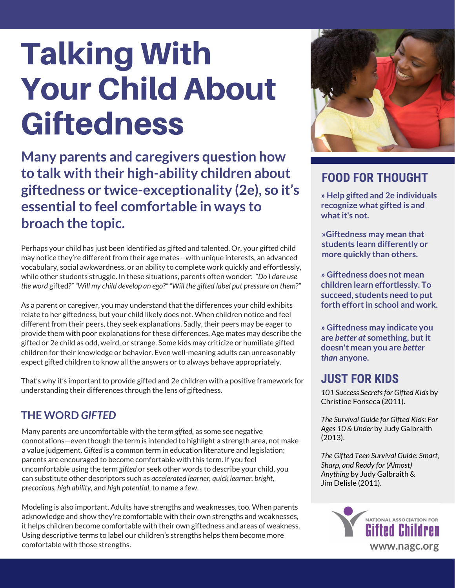# Talking With Your Child About **Giftedness**

**Many parents and caregivers question how to talk with their high-ability children about giftedness or twice-exceptionality (2e), so it's essentialto feel comfortable in ways to broach the topic.**

Perhaps your child has just been identified as gifted and talented. Or, your gifted child may notice they're different from their age mates—with unique interests, an advanced vocabulary, social awkwardness, or an ability to complete work quickly and effortlessly, while other students struggle. In these situations, parents often wonder: *"Do I dare use the word* gifted*?" "Will my child develop an ego?" "Will the gifted label put pressure on them?"*

As a parent or caregiver, you may understand that the differences your child exhibits relate to her giftedness, but your child likely does not. When children notice and feel different from their peers, they seek explanations. Sadly, their peers may be eager to provide them with poor explanations for these differences. Age mates may describe the gifted or 2e child as odd, weird, or strange. Some kids may criticize or humiliate gifted children for their knowledge or behavior. Even well-meaning adults can unreasonably expect gifted children to know all the answers or to always behave appropriately.

That's why it's important to provide gifted and 2e children with a positive framework for understanding their differences through the lens of giftedness.

#### **THE WORD** *GIFTED*

Many parents are uncomfortable with the term *gifted,* as some see negative connotations—even though the term is intended to highlight a strength area, not make a value judgement. *Gifted* is a common term in education literature and legislation; parents are encouraged to become comfortable with this term. If you feel uncomfortable using the term *gifted* or seek other words to describe your child, you can substitute other descriptors such as *accelerated learner, quick learner, bright, precocious, high ability*, and *high potential*, to name a few.

Modeling is also important. Adults have strengths and weaknesses, too. When parents acknowledge and show they're comfortable with their own strengths and weaknesses, it helps children become comfortable with their own giftedness and areas of weakness. Using descriptive terms to label our children's strengths helps them become more comfortable with those strengths.



## **FOOD FOR THOUGHT**

**» Help gifted and 2e individuals recognize what gifted is and whatit's not.**

**»Giftedness may mean that students learn differently or more quickly than others.**

**» Giftedness does not mean children learn effortlessly. To succeed, students need to put forth effortin school and work.**

**» Giftedness may indicate you are** *better at* **something, butit doesn't mean you are** *better than* **anyone.**

### **JUST FOR KIDS**

*101 Success Secretsfor Gifted Kids* by Christine Fonseca (2011).

*The Survival Guide for Gifted Kids: For Ages 10 & Under* by Judy Galbraith (2013).

*The Gifted Teen Survival Guide: Smart, Sharp, and Ready for (Almost) Anything* by Judy Galbraith & Jim Delisle (2011).